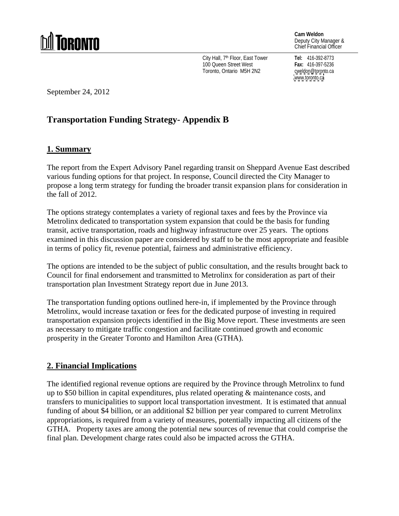# TNRNNTN

**Cam Weldon** Deputy City Manager & Chief Financial Officer

City Hall, 7th Floor, East Tower **Tel:** 416-392-8773 100 Queen Street West **Fax: 416-397-5236** Toronto, Ontario M5H 2N2

**Tel:** 416-392-8773 **Fax:** 416-397-5236 cweldon@toronto.ca [www.toronto.ca](http://www.toronto.ca)

September 24, 2012

# **Transportation Funding Strategy- Appendix B**

# **1. Summary**

The report from the Expert Advisory Panel regarding transit on Sheppard Avenue East described various funding options for that project. In response, Council directed the City Manager to propose a long term strategy for funding the broader transit expansion plans for consideration in the fall of 2012.

The options strategy contemplates a variety of regional taxes and fees by the Province via Metrolinx dedicated to transportation system expansion that could be the basis for funding transit, active transportation, roads and highway infrastructure over 25 years. The options examined in this discussion paper are considered by staff to be the most appropriate and feasible in terms of policy fit, revenue potential, fairness and administrative efficiency.

The options are intended to be the subject of public consultation, and the results brought back to Council for final endorsement and transmitted to Metrolinx for consideration as part of their transportation plan Investment Strategy report due in June 2013.

The transportation funding options outlined here-in, if implemented by the Province through Metrolinx, would increase taxation or fees for the dedicated purpose of investing in required transportation expansion projects identified in the Big Move report. These investments are seen as necessary to mitigate traffic congestion and facilitate continued growth and economic prosperity in the Greater Toronto and Hamilton Area (GTHA).

# **2. Financial Implications**

The identified regional revenue options are required by the Province through Metrolinx to fund up to \$50 billion in capital expenditures, plus related operating & maintenance costs, and transfers to municipalities to support local transportation investment. It is estimated that annual funding of about \$4 billion, or an additional \$2 billion per year compared to current Metrolinx appropriations, is required from a variety of measures, potentially impacting all citizens of the GTHA. Property taxes are among the potential new sources of revenue that could comprise the final plan. Development charge rates could also be impacted across the GTHA.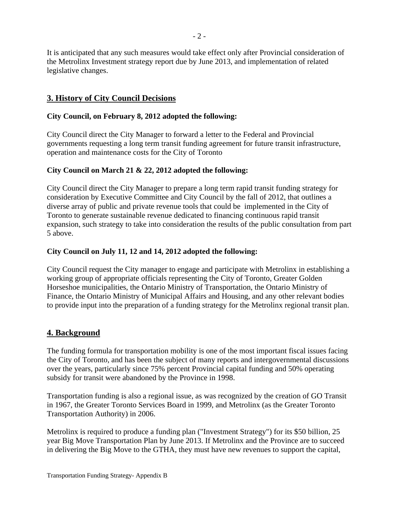It is anticipated that any such measures would take effect only after Provincial consideration of the Metrolinx Investment strategy report due by June 2013, and implementation of related legislative changes.

# **3. History of City Council Decisions**

# **City Council, on February 8, 2012 adopted the following:**

City Council direct the City Manager to forward a letter to the Federal and Provincial governments requesting a long term transit funding agreement for future transit infrastructure, operation and maintenance costs for the City of Toronto

## **City Council on March 21 & 22, 2012 adopted the following:**

City Council direct the City Manager to prepare a long term rapid transit funding strategy for consideration by Executive Committee and City Council by the fall of 2012, that outlines a diverse array of public and private revenue tools that could be implemented in the City of Toronto to generate sustainable revenue dedicated to financing continuous rapid transit expansion, such strategy to take into consideration the results of the public consultation from part 5 above.

## **City Council on July 11, 12 and 14, 2012 adopted the following:**

City Council request the City manager to engage and participate with Metrolinx in establishing a working group of appropriate officials representing the City of Toronto, Greater Golden Horseshoe municipalities, the Ontario Ministry of Transportation, the Ontario Ministry of Finance, the Ontario Ministry of Municipal Affairs and Housing, and any other relevant bodies to provide input into the preparation of a funding strategy for the Metrolinx regional transit plan.

# **4. Background**

The funding formula for transportation mobility is one of the most important fiscal issues facing the City of Toronto, and has been the subject of many reports and intergovernmental discussions over the years, particularly since 75% percent Provincial capital funding and 50% operating subsidy for transit were abandoned by the Province in 1998.

Transportation funding is also a regional issue, as was recognized by the creation of GO Transit in 1967, the Greater Toronto Services Board in 1999, and Metrolinx (as the Greater Toronto Transportation Authority) in 2006.

Metrolinx is required to produce a funding plan ("Investment Strategy") for its \$50 billion, 25 year Big Move Transportation Plan by June 2013. If Metrolinx and the Province are to succeed in delivering the Big Move to the GTHA, they must have new revenues to support the capital,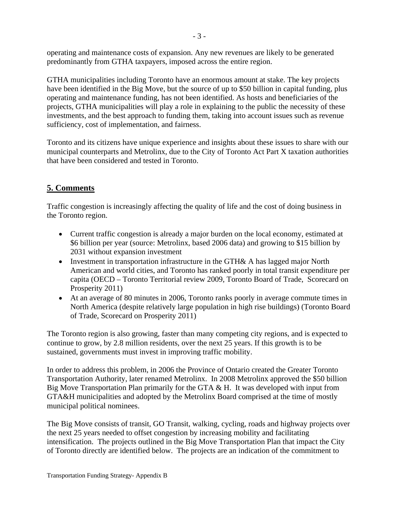operating and maintenance costs of expansion. Any new revenues are likely to be generated predominantly from GTHA taxpayers, imposed across the entire region.

GTHA municipalities including Toronto have an enormous amount at stake. The key projects have been identified in the Big Move, but the source of up to \$50 billion in capital funding, plus operating and maintenance funding, has not been identified. As hosts and beneficiaries of the projects, GTHA municipalities will play a role in explaining to the public the necessity of these investments, and the best approach to funding them, taking into account issues such as revenue sufficiency, cost of implementation, and fairness.

Toronto and its citizens have unique experience and insights about these issues to share with our municipal counterparts and Metrolinx, due to the City of Toronto Act Part X taxation authorities that have been considered and tested in Toronto.

# **5. Comments**

Traffic congestion is increasingly affecting the quality of life and the cost of doing business in the Toronto region.

- Current traffic congestion is already a major burden on the local economy, estimated at \$6 billion per year (source: Metrolinx, based 2006 data) and growing to \$15 billion by 2031 without expansion investment
- Investment in transportation infrastructure in the GTH& A has lagged major North American and world cities, and Toronto has ranked poorly in total transit expenditure per capita (OECD – Toronto Territorial review 2009, Toronto Board of Trade, Scorecard on Prosperity 2011)
- At an average of 80 minutes in 2006, Toronto ranks poorly in average commute times in North America (despite relatively large population in high rise buildings) (Toronto Board of Trade, Scorecard on Prosperity 2011)

The Toronto region is also growing, faster than many competing city regions, and is expected to continue to grow, by 2.8 million residents, over the next 25 years. If this growth is to be sustained, governments must invest in improving traffic mobility.

In order to address this problem, in 2006 the Province of Ontario created the Greater Toronto Transportation Authority, later renamed Metrolinx. In 2008 Metrolinx approved the \$50 billion Big Move Transportation Plan primarily for the GTA & H. It was developed with input from GTA&H municipalities and adopted by the Metrolinx Board comprised at the time of mostly municipal political nominees.

The Big Move consists of transit, GO Transit, walking, cycling, roads and highway projects over the next 25 years needed to offset congestion by increasing mobility and facilitating intensification. The projects outlined in the Big Move Transportation Plan that impact the City of Toronto directly are identified below. The projects are an indication of the commitment to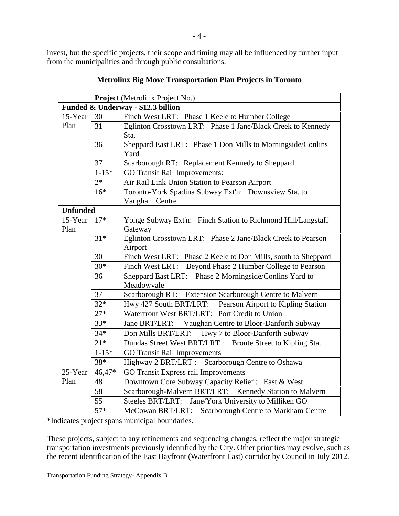invest, but the specific projects, their scope and timing may all be influenced by further input from the municipalities and through public consultations.

|                 |           | <b>Project</b> (Metrolinx Project No.)                                 |
|-----------------|-----------|------------------------------------------------------------------------|
|                 |           | Funded & Underway - \$12.3 billion                                     |
| 15-Year 30      |           | Finch West LRT: Phase 1 Keele to Humber College                        |
| Plan            | 31        | Eglinton Crosstown LRT: Phase 1 Jane/Black Creek to Kennedy<br>Sta.    |
|                 | 36        | Sheppard East LRT: Phase 1 Don Mills to Morningside/Conlins<br>Yard    |
|                 | 37        | Scarborough RT: Replacement Kennedy to Sheppard                        |
|                 | $1-15*$   | GO Transit Rail Improvements:                                          |
|                 | $2*$      | Air Rail Link Union Station to Pearson Airport                         |
|                 | $16*$     | Toronto-York Spadina Subway Ext'n: Downsview Sta. to<br>Vaughan Centre |
| <b>Unfunded</b> |           |                                                                        |
| 15-Year   $17*$ |           | Yonge Subway Ext'n: Finch Station to Richmond Hill/Langstaff           |
| Plan            |           | Gateway                                                                |
|                 | $31*$     | Eglinton Crosstown LRT: Phase 2 Jane/Black Creek to Pearson            |
|                 |           | Airport                                                                |
|                 | 30        | Finch West LRT: Phase 2 Keele to Don Mills, south to Sheppard          |
|                 | $30*$     | Finch West LRT: Beyond Phase 2 Humber College to Pearson               |
|                 | 36        | Sheppard East LRT: Phase 2 Morningside/Conlins Yard to<br>Meadowvale   |
|                 | 37        | Scarborough RT: Extension Scarborough Centre to Malvern                |
|                 | $32*$     | Hwy 427 South BRT/LRT: Pearson Airport to Kipling Station              |
|                 | $27*$     | Waterfront West BRT/LRT: Port Credit to Union                          |
|                 | $33*$     | Jane BRT/LRT: Vaughan Centre to Bloor-Danforth Subway                  |
|                 | $34*$     | Don Mills BRT/LRT: Hwy 7 to Bloor-Danforth Subway                      |
|                 | $21*$     | Dundas Street West BRT/LRT : Bronte Street to Kipling Sta.             |
|                 | $1 - 15*$ | GO Transit Rail Improvements                                           |
|                 | $38*$     | Highway 2 BRT/LRT : Scarborough Centre to Oshawa                       |
|                 |           | 25-Year $\vert$ 46,47* GO Transit Express rail Improvements            |
| Plan            | 48        | Downtown Core Subway Capacity Relief : East & West                     |
|                 | 58        | Scarborough-Malvern BRT/LRT: Kennedy Station to Malvern                |
|                 | 55        | Steeles BRT/LRT: Jane/York University to Milliken GO                   |
|                 | $57*$     | McCowan BRT/LRT: Scarborough Centre to Markham Centre                  |

# **Metrolinx Big Move Transportation Plan Projects in Toronto**

\*Indicates project spans municipal boundaries.

These projects, subject to any refinements and sequencing changes, reflect the major strategic transportation investments previously identified by the City. Other priorities may evolve, such as the recent identification of the East Bayfront (Waterfront East) corridor by Council in July 2012.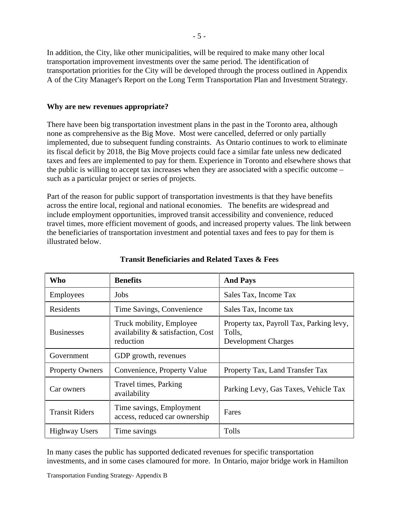In addition, the City, like other municipalities, will be required to make many other local transportation improvement investments over the same period. The identification of transportation priorities for the City will be developed through the process outlined in Appendix A of the City Manager's Report on the Long Term Transportation Plan and Investment Strategy.

#### **Why are new revenues appropriate?**

There have been big transportation investment plans in the past in the Toronto area, although none as comprehensive as the Big Move. Most were cancelled, deferred or only partially implemented, due to subsequent funding constraints. As Ontario continues to work to eliminate its fiscal deficit by 2018, the Big Move projects could face a similar fate unless new dedicated taxes and fees are implemented to pay for them. Experience in Toronto and elsewhere shows that the public is willing to accept tax increases when they are associated with a specific outcome – such as a particular project or series of projects.

Part of the reason for public support of transportation investments is that they have benefits across the entire local, regional and national economies. The benefits are widespread and include employment opportunities, improved transit accessibility and convenience, reduced travel times, more efficient movement of goods, and increased property values. The link between the beneficiaries of transportation investment and potential taxes and fees to pay for them is illustrated below.

| Who                    | <b>Benefits</b>                                                            | <b>And Pays</b>                                                                  |
|------------------------|----------------------------------------------------------------------------|----------------------------------------------------------------------------------|
| Employees              | Jobs                                                                       | Sales Tax, Income Tax                                                            |
| Residents              | Time Savings, Convenience                                                  | Sales Tax, Income tax                                                            |
| Businesses             | Truck mobility, Employee<br>availability & satisfaction, Cost<br>reduction | Property tax, Payroll Tax, Parking levy,<br>Tolls,<br><b>Development Charges</b> |
| Government             | GDP growth, revenues                                                       |                                                                                  |
| <b>Property Owners</b> | Convenience, Property Value                                                | Property Tax, Land Transfer Tax                                                  |
| Car owners             | Travel times, Parking<br>availability                                      | Parking Levy, Gas Taxes, Vehicle Tax                                             |
| <b>Transit Riders</b>  | Time savings, Employment<br>access, reduced car ownership                  | Fares                                                                            |
| Highway Users          | Time savings                                                               | Tolls                                                                            |

## **Transit Beneficiaries and Related Taxes & Fees**

In many cases the public has supported dedicated revenues for specific transportation investments, and in some cases clamoured for more. In Ontario, major bridge work in Hamilton

Transportation Funding Strategy- Appendix B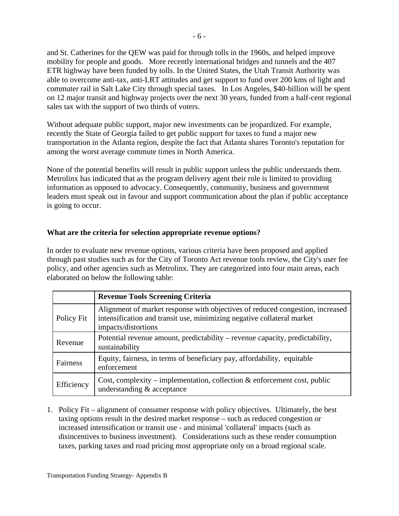and St. Catherines for the QEW was paid for through tolls in the 1960s, and helped improve mobility for people and goods. More recently international bridges and tunnels and the 407 ETR highway have been funded by tolls. In the United States, the Utah Transit Authority was able to overcome anti-tax, anti-LRT attitudes and get support to fund over 200 kms of light and commuter rail in Salt Lake City through special taxes. In Los Angeles, \$40-billion will be spent on 12 major transit and highway projects over the next 30 years, funded from a half-cent regional sales tax with the support of two thirds of voters.

Without adequate public support, major new investments can be jeopardized. For example, recently the State of Georgia failed to get public support for taxes to fund a major new transportation in the Atlanta region, despite the fact that Atlanta shares Toronto's reputation for among the worst average commute times in North America.

None of the potential benefits will result in public support unless the public understands them. Metrolinx has indicated that as the program delivery agent their role is limited to providing information as opposed to advocacy. Consequently, community, business and government leaders must speak out in favour and support communication about the plan if public acceptance is going to occur.

## **What are the criteria for selection appropriate revenue options?**

In order to evaluate new revenue options, various criteria have been proposed and applied through past studies such as for the City of Toronto Act revenue tools review, the City's user fee policy, and other agencies such as Metrolinx. They are categorized into four main areas, each elaborated on below the following table:

|                 | <b>Revenue Tools Screening Criteria</b>                                                                                                                                        |
|-----------------|--------------------------------------------------------------------------------------------------------------------------------------------------------------------------------|
| Policy Fit      | Alignment of market response with objectives of reduced congestion, increased<br>intensification and transit use, minimizing negative collateral market<br>impacts/distortions |
| Revenue         | Potential revenue amount, predictability – revenue capacity, predictability,<br>sustainability                                                                                 |
| <b>Fairness</b> | Equity, fairness, in terms of beneficiary pay, affordability, equitable<br>enforcement                                                                                         |
| Efficiency      | $\vert$ Cost, complexity – implementation, collection & enforcement cost, public<br>understanding & acceptance                                                                 |

1. Policy Fit – alignment of consumer response with policy objectives. Ultimately, the best taxing options result in the desired market response – such as reduced congestion or increased intensification or transit use - and minimal 'collateral' impacts (such as disincentives to business investment). Considerations such as these render consumption taxes, parking taxes and road pricing most appropriate only on a broad regional scale.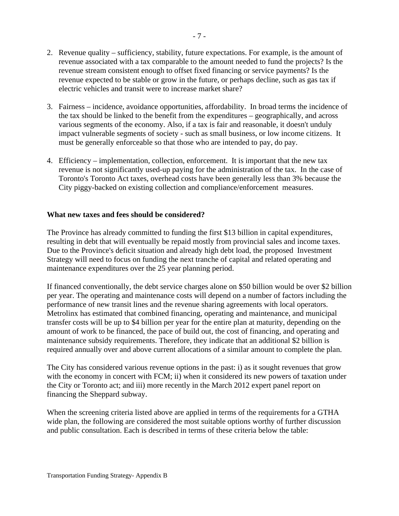- 2. Revenue quality sufficiency, stability, future expectations. For example, is the amount of revenue associated with a tax comparable to the amount needed to fund the projects? Is the revenue stream consistent enough to offset fixed financing or service payments? Is the revenue expected to be stable or grow in the future, or perhaps decline, such as gas tax if electric vehicles and transit were to increase market share?
- 3. Fairness incidence, avoidance opportunities, affordability. In broad terms the incidence of the tax should be linked to the benefit from the expenditures – geographically, and across various segments of the economy. Also, if a tax is fair and reasonable, it doesn't unduly impact vulnerable segments of society - such as small business, or low income citizens. It must be generally enforceable so that those who are intended to pay, do pay.
- 4. Efficiency implementation, collection, enforcement. It is important that the new tax revenue is not significantly used-up paying for the administration of the tax. In the case of Toronto's Toronto Act taxes, overhead costs have been generally less than 3% because the City piggy-backed on existing collection and compliance/enforcement measures.

## **What new taxes and fees should be considered?**

The Province has already committed to funding the first \$13 billion in capital expenditures, resulting in debt that will eventually be repaid mostly from provincial sales and income taxes. Due to the Province's deficit situation and already high debt load, the proposed Investment Strategy will need to focus on funding the next tranche of capital and related operating and maintenance expenditures over the 25 year planning period.

If financed conventionally, the debt service charges alone on \$50 billion would be over \$2 billion per year. The operating and maintenance costs will depend on a number of factors including the performance of new transit lines and the revenue sharing agreements with local operators. Metrolinx has estimated that combined financing, operating and maintenance, and municipal transfer costs will be up to \$4 billion per year for the entire plan at maturity, depending on the amount of work to be financed, the pace of build out, the cost of financing, and operating and maintenance subsidy requirements. Therefore, they indicate that an additional \$2 billion is required annually over and above current allocations of a similar amount to complete the plan.

The City has considered various revenue options in the past: i) as it sought revenues that grow with the economy in concert with FCM; ii) when it considered its new powers of taxation under the City or Toronto act; and iii) more recently in the March 2012 expert panel report on financing the Sheppard subway.

When the screening criteria listed above are applied in terms of the requirements for a GTHA wide plan, the following are considered the most suitable options worthy of further discussion and public consultation. Each is described in terms of these criteria below the table: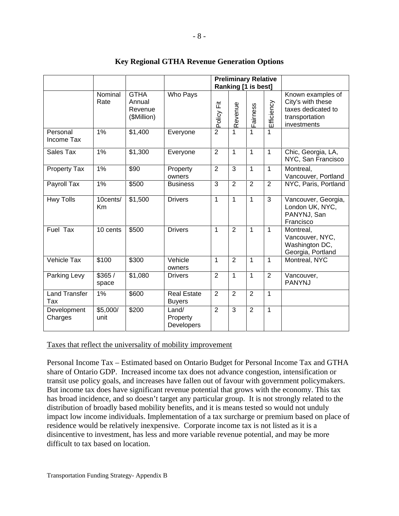|                           |                                      |                                  | <b>Preliminary Relative</b>     |                   |                                                 |                                                                                               |
|---------------------------|--------------------------------------|----------------------------------|---------------------------------|-------------------|-------------------------------------------------|-----------------------------------------------------------------------------------------------|
|                           |                                      |                                  |                                 |                   | Ranking [1 is best]                             |                                                                                               |
|                           | Nominal GTHA<br>Rate                 | Annual<br>Revenue<br>(\$Million) | Who Pays                        | 置。                | ဖ                                               | Known examples of<br>City's with these<br>taxes dedicated to<br>transportation<br>investments |
| Personal<br>Income Tax    | 1%                                   | \$1,400                          | Everyone                        |                   | $\overline{1}$                                  |                                                                                               |
| Sales Tax                 | 1%                                   | \$1,300                          | Everyone                        |                   | $\overline{1}$ 1                                | Chic, Georgia, LA,<br>NYC, San Francisco                                                      |
| <b>Property Tax</b>       | $1\%$                                | $\sqrt{$90}$                     | Property<br>owners              |                   |                                                 | Montreal,<br>Vancouver, Portland                                                              |
| Payroll Tax               | 1%                                   | \$500                            | Business                        |                   | $3 \mid 2 \mid 2 \mid 2$                        | NYC, Paris, Portland                                                                          |
| <b>Hwy Tolls</b>          | Km                                   | 10cents/ \$1,500                 | <b>Drivers</b>                  |                   | $\boxed{1}$ $\boxed{1}$ $\boxed{1}$ $\boxed{3}$ | Vancouver, Georgia,<br>London UK, NYC,<br>PANYNJ, San<br>Francisco                            |
| Fuel Tax                  | 10 cents \$500                       |                                  | <b>Drivers</b>                  |                   |                                                 | Montreal,<br>Vancouver, NYC,<br>Washington DC,<br>Georgia, Portland                           |
| Vehicle Tax               | $\sqrt{$100}$                        | \$300                            | Vehicle<br>owners               | $1 \mid 2 \mid 1$ |                                                 | Montreal, NYC                                                                                 |
| <b>Parking Levy</b>       | \$365/<br>space                      | \$1,080                          | <b>Drivers</b>                  |                   |                                                 | Vancouver,<br>PANYNJ                                                                          |
| Land Transfer   1%<br>Tax |                                      | $\sqrt{$600}$                    | Real Estate<br><b>Buyers</b>    |                   |                                                 |                                                                                               |
| Development<br>Charges    | $\frac{1}{1}$ \$5,000/ \$200<br>unit |                                  | Land/<br>Property<br>Developers |                   |                                                 |                                                                                               |

# **Key Regional GTHA Revenue Generation Options**

#### Taxes that reflect the universality of mobility improvement

Personal Income Tax – Estimated based on Ontario Budget for Personal Income Tax and GTHA share of Ontario GDP. Increased income tax does not advance congestion, intensification or transit use policy goals, and increases have fallen out of favour with government policymakers. But income tax does have significant revenue potential that grows with the economy. This tax has broad incidence, and so doesn't target any particular group. It is not strongly related to the distribution of broadly based mobility benefits, and it is means tested so would not unduly impact low income individuals. Implementation of a tax surcharge or premium based on place of residence would be relatively inexpensive. Corporate income tax is not listed as it is a disincentive to investment, has less and more variable revenue potential, and may be more difficult to tax based on location.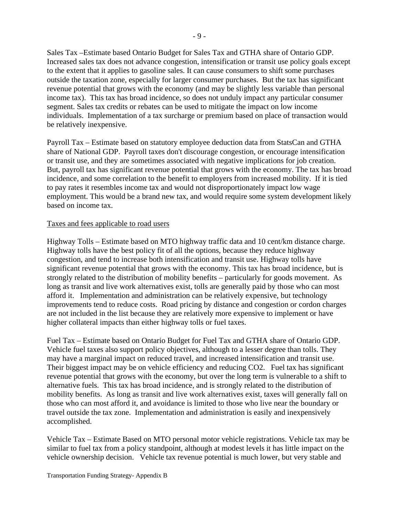Sales Tax –Estimate based Ontario Budget for Sales Tax and GTHA share of Ontario GDP. Increased sales tax does not advance congestion, intensification or transit use policy goals except to the extent that it applies to gasoline sales. It can cause consumers to shift some purchases outside the taxation zone, especially for larger consumer purchases. But the tax has significant revenue potential that grows with the economy (and may be slightly less variable than personal income tax). This tax has broad incidence, so does not unduly impact any particular consumer segment. Sales tax credits or rebates can be used to mitigate the impact on low income individuals. Implementation of a tax surcharge or premium based on place of transaction would be relatively inexpensive.

Payroll Tax – Estimate based on statutory employee deduction data from StatsCan and GTHA share of National GDP. Payroll taxes don't discourage congestion, or encourage intensification or transit use, and they are sometimes associated with negative implications for job creation. But, payroll tax has significant revenue potential that grows with the economy. The tax has broad incidence, and some correlation to the benefit to employers from increased mobility. If it is tied to pay rates it resembles income tax and would not disproportionately impact low wage employment. This would be a brand new tax, and would require some system development likely based on income tax.

#### Taxes and fees applicable to road users

Highway Tolls – Estimate based on MTO highway traffic data and 10 cent/km distance charge. Highway tolls have the best policy fit of all the options, because they reduce highway congestion, and tend to increase both intensification and transit use. Highway tolls have significant revenue potential that grows with the economy. This tax has broad incidence, but is strongly related to the distribution of mobility benefits – particularly for goods movement. As long as transit and live work alternatives exist, tolls are generally paid by those who can most afford it. Implementation and administration can be relatively expensive, but technology improvements tend to reduce costs. Road pricing by distance and congestion or cordon charges are not included in the list because they are relatively more expensive to implement or have higher collateral impacts than either highway tolls or fuel taxes.

Fuel Tax – Estimate based on Ontario Budget for Fuel Tax and GTHA share of Ontario GDP. Vehicle fuel taxes also support policy objectives, although to a lesser degree than tolls. They may have a marginal impact on reduced travel, and increased intensification and transit use. Their biggest impact may be on vehicle efficiency and reducing CO2. Fuel tax has significant revenue potential that grows with the economy, but over the long term is vulnerable to a shift to alternative fuels. This tax has broad incidence, and is strongly related to the distribution of mobility benefits. As long as transit and live work alternatives exist, taxes will generally fall on those who can most afford it, and avoidance is limited to those who live near the boundary or travel outside the tax zone. Implementation and administration is easily and inexpensively accomplished.

Vehicle Tax – Estimate Based on MTO personal motor vehicle registrations. Vehicle tax may be similar to fuel tax from a policy standpoint, although at modest levels it has little impact on the vehicle ownership decision. Vehicle tax revenue potential is much lower, but very stable and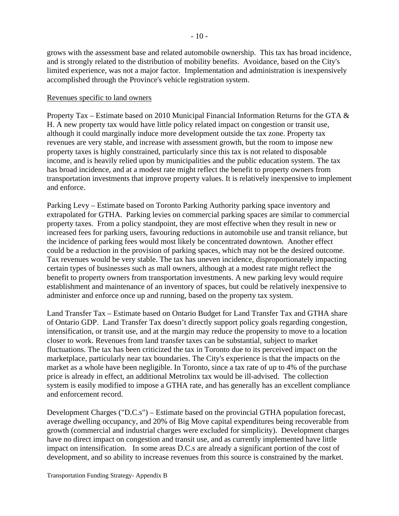grows with the assessment base and related automobile ownership. This tax has broad incidence, and is strongly related to the distribution of mobility benefits. Avoidance, based on the City's limited experience, was not a major factor. Implementation and administration is inexpensively accomplished through the Province's vehicle registration system.

#### Revenues specific to land owners

Property Tax – Estimate based on 2010 Municipal Financial Information Returns for the GTA & H. A new property tax would have little policy related impact on congestion or transit use, although it could marginally induce more development outside the tax zone. Property tax revenues are very stable, and increase with assessment growth, but the room to impose new property taxes is highly constrained, particularly since this tax is not related to disposable income, and is heavily relied upon by municipalities and the public education system. The tax has broad incidence, and at a modest rate might reflect the benefit to property owners from transportation investments that improve property values. It is relatively inexpensive to implement and enforce.

Parking Levy – Estimate based on Toronto Parking Authority parking space inventory and extrapolated for GTHA. Parking levies on commercial parking spaces are similar to commercial property taxes. From a policy standpoint, they are most effective when they result in new or increased fees for parking users, favouring reductions in automobile use and transit reliance, but the incidence of parking fees would most likely be concentrated downtown. Another effect could be a reduction in the provision of parking spaces, which may not be the desired outcome. Tax revenues would be very stable. The tax has uneven incidence, disproportionately impacting certain types of businesses such as mall owners, although at a modest rate might reflect the benefit to property owners from transportation investments. A new parking levy would require establishment and maintenance of an inventory of spaces, but could be relatively inexpensive to administer and enforce once up and running, based on the property tax system.

Land Transfer Tax – Estimate based on Ontario Budget for Land Transfer Tax and GTHA share of Ontario GDP. Land Transfer Tax doesn't directly support policy goals regarding congestion, intensification, or transit use, and at the margin may reduce the propensity to move to a location closer to work. Revenues from land transfer taxes can be substantial, subject to market fluctuations. The tax has been criticized the tax in Toronto due to its perceived impact on the marketplace, particularly near tax boundaries. The City's experience is that the impacts on the market as a whole have been negligible. In Toronto, since a tax rate of up to 4% of the purchase price is already in effect, an additional Metrolinx tax would be ill-advised. The collection system is easily modified to impose a GTHA rate, and has generally has an excellent compliance and enforcement record.

Development Charges ("D.C.s") – Estimate based on the provincial GTHA population forecast, average dwelling occupancy, and 20% of Big Move capital expenditures being recoverable from growth (commercial and industrial charges were excluded for simplicity). Development charges have no direct impact on congestion and transit use, and as currently implemented have little impact on intensification. In some areas D.C.s are already a significant portion of the cost of development, and so ability to increase revenues from this source is constrained by the market.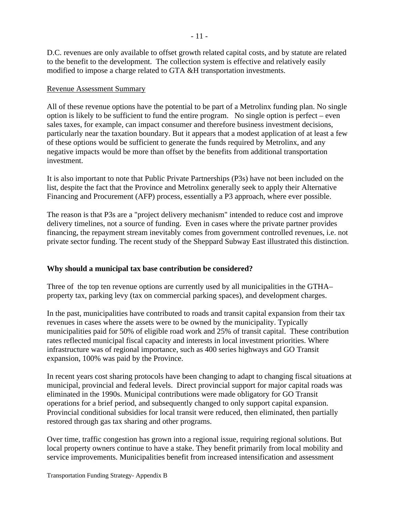D.C. revenues are only available to offset growth related capital costs, and by statute are related to the benefit to the development. The collection system is effective and relatively easily modified to impose a charge related to GTA &H transportation investments.

#### Revenue Assessment Summary

All of these revenue options have the potential to be part of a Metrolinx funding plan. No single option is likely to be sufficient to fund the entire program. No single option is perfect – even sales taxes, for example, can impact consumer and therefore business investment decisions, particularly near the taxation boundary. But it appears that a modest application of at least a few of these options would be sufficient to generate the funds required by Metrolinx, and any negative impacts would be more than offset by the benefits from additional transportation investment.

It is also important to note that Public Private Partnerships (P3s) have not been included on the list, despite the fact that the Province and Metrolinx generally seek to apply their Alternative Financing and Procurement (AFP) process, essentially a P3 approach, where ever possible.

The reason is that P3s are a "project delivery mechanism" intended to reduce cost and improve delivery timelines, not a source of funding. Even in cases where the private partner provides financing, the repayment stream inevitably comes from government controlled revenues, i.e. not private sector funding. The recent study of the Sheppard Subway East illustrated this distinction.

## **Why should a municipal tax base contribution be considered?**

Three of the top ten revenue options are currently used by all municipalities in the GTHA– property tax, parking levy (tax on commercial parking spaces), and development charges.

In the past, municipalities have contributed to roads and transit capital expansion from their tax revenues in cases where the assets were to be owned by the municipality. Typically municipalities paid for 50% of eligible road work and 25% of transit capital. These contribution rates reflected municipal fiscal capacity and interests in local investment priorities. Where infrastructure was of regional importance, such as 400 series highways and GO Transit expansion, 100% was paid by the Province.

In recent years cost sharing protocols have been changing to adapt to changing fiscal situations at municipal, provincial and federal levels. Direct provincial support for major capital roads was eliminated in the 1990s. Municipal contributions were made obligatory for GO Transit operations for a brief period, and subsequently changed to only support capital expansion. Provincial conditional subsidies for local transit were reduced, then eliminated, then partially restored through gas tax sharing and other programs.

 Over time, traffic congestion has grown into a regional issue, requiring regional solutions. But local property owners continue to have a stake. They benefit primarily from local mobility and service improvements. Municipalities benefit from increased intensification and assessment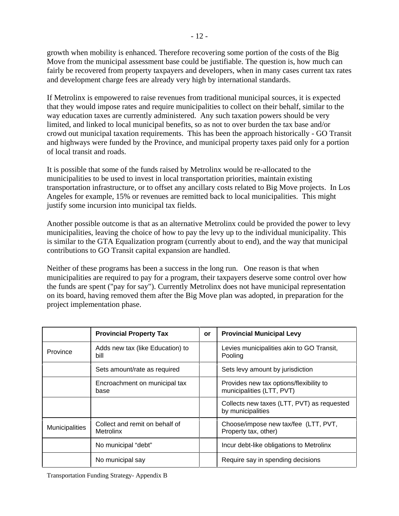growth when mobility is enhanced. Therefore recovering some portion of the costs of the Big Move from the municipal assessment base could be justifiable. The question is, how much can fairly be recovered from property taxpayers and developers, when in many cases current tax rates and development charge fees are already very high by international standards.

If Metrolinx is empowered to raise revenues from traditional municipal sources, it is expected that they would impose rates and require municipalities to collect on their behalf, similar to the way education taxes are currently administered. Any such taxation powers should be very limited, and linked to local municipal benefits, so as not to over burden the tax base and/or crowd out municipal taxation requirements. This has been the approach historically - GO Transit and highways were funded by the Province, and municipal property taxes paid only for a portion of local transit and roads.

It is possible that some of the funds raised by Metrolinx would be re-allocated to the municipalities to be used to invest in local transportation priorities, maintain existing transportation infrastructure, or to offset any ancillary costs related to Big Move projects. In Los Angeles for example, 15% or revenues are remitted back to local municipalities. This might justify some incursion into municipal tax fields.

Another possible outcome is that as an alternative Metrolinx could be provided the power to levy municipalities, leaving the choice of how to pay the levy up to the individual municipality. This is similar to the GTA Equalization program (currently about to end), and the way that municipal contributions to GO Transit capital expansion are handled.

Neither of these programs has been a success in the long run. One reason is that when municipalities are required to pay for a program, their taxpayers deserve some control over how the funds are spent ("pay for say"). Currently Metrolinx does not have municipal representation on its board, having removed them after the Big Move plan was adopted, in preparation for the project implementation phase.

|          | <b>Provincial Property Tax</b>                               | $\mathsf{or}$ | <b>Provincial Municipal Levy</b>                                     |
|----------|--------------------------------------------------------------|---------------|----------------------------------------------------------------------|
| Province | Adds new tax (like Education) to                             |               | Levies municipalities akin to GO Transit,<br>Pooling                 |
|          | Sets amount/rate as required                                 |               | Sets levy amount by jurisdiction                                     |
|          | Encroachment on municipal tax<br>base                        |               | Provides new tax options/flexibility to<br>municipalities (LTT, PVT) |
|          |                                                              |               | Collects new taxes (LTT, PVT) as requested<br>by municipalities      |
|          | Municipalities   Collect and remit on behalf of<br>Metrolinx |               | Choose/impose new tax/fee (LTT, PVT,<br>Property tax, other)         |
|          | No municipal "debt"                                          |               | Incur debt-like obligations to Metrolinx                             |
|          | No municipal say                                             |               | Require say in spending decisions                                    |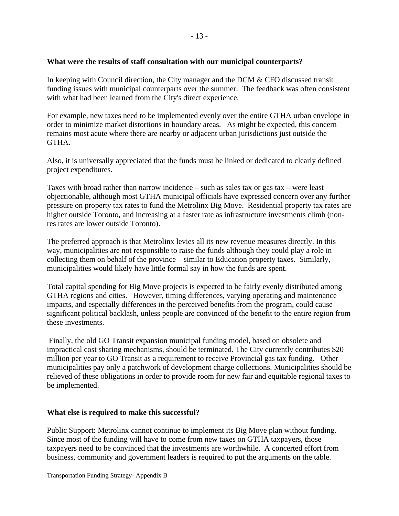## **What were the results of staff consultation with our municipal counterparts?**

In keeping with Council direction, the City manager and the DCM & CFO discussed transit funding issues with municipal counterparts over the summer. The feedback was often consistent with what had been learned from the City's direct experience.

For example, new taxes need to be implemented evenly over the entire GTHA urban envelope in order to minimize market distortions in boundary areas. As might be expected, this concern remains most acute where there are nearby or adjacent urban jurisdictions just outside the GTHA.

Also, it is universally appreciated that the funds must be linked or dedicated to clearly defined project expenditures.

Taxes with broad rather than narrow incidence – such as sales tax or gas tax – were least objectionable, although most GTHA municipal officials have expressed concern over any further pressure on property tax rates to fund the Metrolinx Big Move. Residential property tax rates are higher outside Toronto, and increasing at a faster rate as infrastructure investments climb (nonres rates are lower outside Toronto).

The preferred approach is that Metrolinx levies all its new revenue measures directly. In this way, municipalities are not responsible to raise the funds although they could play a role in collecting them on behalf of the province – similar to Education property taxes. Similarly, municipalities would likely have little formal say in how the funds are spent.

Total capital spending for Big Move projects is expected to be fairly evenly distributed among GTHA regions and cities. However, timing differences, varying operating and maintenance impacts, and especially differences in the perceived benefits from the program, could cause significant political backlash, unless people are convinced of the benefit to the entire region from these investments.

Finally, the old GO Transit expansion municipal funding model, based on obsolete and impractical cost sharing mechanisms, should be terminated. The City currently contributes \$20 million per year to GO Transit as a requirement to receive Provincial gas tax funding. Other municipalities pay only a patchwork of development charge collections. Municipalities should be relieved of these obligations in order to provide room for new fair and equitable regional taxes to be implemented.

#### **What else is required to make this successful?**

Public Support: Metrolinx cannot continue to implement its Big Move plan without funding. Since most of the funding will have to come from new taxes on GTHA taxpayers, those taxpayers need to be convinced that the investments are worthwhile. A concerted effort from business, community and government leaders is required to put the arguments on the table.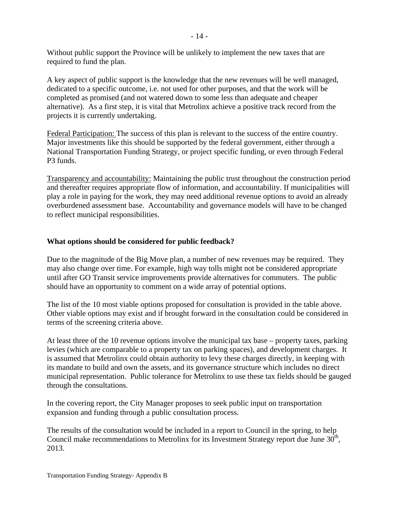Without public support the Province will be unlikely to implement the new taxes that are required to fund the plan.

A key aspect of public support is the knowledge that the new revenues will be well managed, dedicated to a specific outcome, i.e. not used for other purposes, and that the work will be completed as promised (and not watered down to some less than adequate and cheaper alternative). As a first step, it is vital that Metrolinx achieve a positive track record from the projects it is currently undertaking.

Federal Participation: The success of this plan is relevant to the success of the entire country. Major investments like this should be supported by the federal government, either through a National Transportation Funding Strategy, or project specific funding, or even through Federal P3 funds.

Transparency and accountability: Maintaining the public trust throughout the construction period and thereafter requires appropriate flow of information, and accountability. If municipalities will play a role in paying for the work, they may need additional revenue options to avoid an already overburdened assessment base. Accountability and governance models will have to be changed to reflect municipal responsibilities.

## **What options should be considered for public feedback?**

Due to the magnitude of the Big Move plan, a number of new revenues may be required. They may also change over time. For example, high way tolls might not be considered appropriate until after GO Transit service improvements provide alternatives for commuters. The public should have an opportunity to comment on a wide array of potential options.

The list of the 10 most viable options proposed for consultation is provided in the table above. Other viable options may exist and if brought forward in the consultation could be considered in terms of the screening criteria above.

At least three of the 10 revenue options involve the municipal tax base – property taxes, parking levies (which are comparable to a property tax on parking spaces), and development charges. It is assumed that Metrolinx could obtain authority to levy these charges directly, in keeping with its mandate to build and own the assets, and its governance structure which includes no direct municipal representation. Public tolerance for Metrolinx to use these tax fields should be gauged through the consultations.

In the covering report, the City Manager proposes to seek public input on transportation expansion and funding through a public consultation process.

The results of the consultation would be included in a report to Council in the spring, to help Council make recommendations to Metrolinx for its Investment Strategy report due June 30<sup>th</sup>,<br>2013.